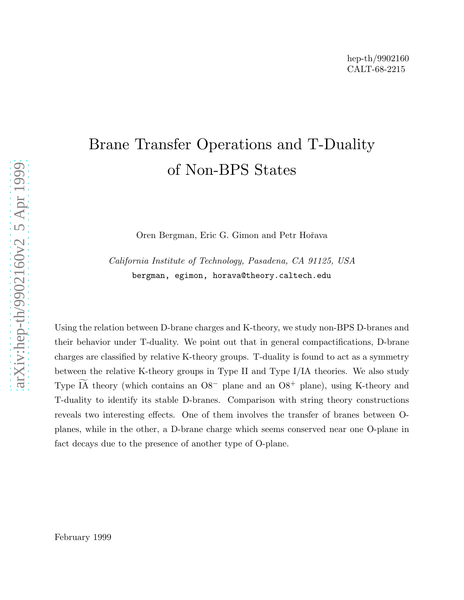# Brane Transfer Operations and T-Duality of Non-BPS States

Oren Bergman, Eric G. Gimon and Petr Hoˇrava

California Institute of Technology, Pasadena, CA 91125, USA bergman, egimon, horava@theory.caltech.edu

Using the relation between D-brane charges and K-theory, we study non-BPS D-branes and their behavior under T-duality. We point out that in general compactifications, D-brane charges are classified by relative K-theory groups. T-duality is found to act as a symmetry between the relative K-theory groups in Type II and Type I/IA theories. We also study Type  $\widetilde{IA}$  theory (which contains an  $O8^-$  plane and an  $O8^+$  plane), using K-theory and T-duality to identify its stable D-branes. Comparison with string theory constructions reveals two interesting effects. One of them involves the transfer of branes between Oplanes, while in the other, a D-brane charge which seems conserved near one O-plane in fact decays due to the presence of another type of O-plane.

February 1999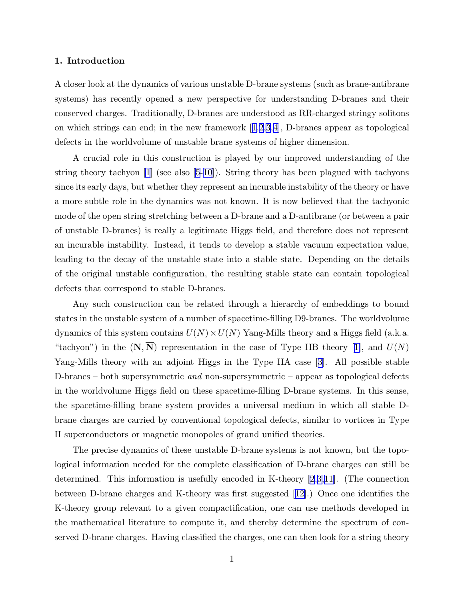#### 1. Introduction

A closer look at the dynamics of various unstable D-brane systems (such as brane-antibrane systems) has recently opened a new perspective for understanding D-branes and their conserved charges. Traditionally, D-branes are understood as RR-charged stringy solitons onwhich strings can end; in the new framework  $[1,2,3,4]$  $[1,2,3,4]$  $[1,2,3,4]$  $[1,2,3,4]$ , D-branes appear as topological defects in the worldvolume of unstable brane systems of higher dimension.

A crucial role in this construction is played by our improved understanding of the string theory tachyon [\[1](#page-26-0)] (see also [\[5-10](#page-26-0)]). String theory has been plagued with tachyons since its early days, but whether they represent an incurable instability of the theory or have a more subtle role in the dynamics was not known. It is now believed that the tachyonic mode of the open string stretching between a D-brane and a D-antibrane (or between a pair of unstable D-branes) is really a legitimate Higgs field, and therefore does not represent an incurable instability. Instead, it tends to develop a stable vacuum expectation value, leading to the decay of the unstable state into a stable state. Depending on the details of the original unstable configuration, the resulting stable state can contain topological defects that correspond to stable D-branes.

Any such construction can be related through a hierarchy of embeddings to bound states in the unstable system of a number of spacetime-filling D9-branes. The worldvolume dynamics of this system contains  $U(N) \times U(N)$  Yang-Mills theory and a Higgs field (a.k.a. "tachyon")in the  $(N, N)$  representation in the case of Type IIB theory [[1\]](#page-26-0), and  $U(N)$ Yang-Mills theory with an adjoint Higgs in the Type IIA case[[3\]](#page-26-0). All possible stable D-branes – both supersymmetric and non-supersymmetric – appear as topological defects in the worldvolume Higgs field on these spacetime-filling D-brane systems. In this sense, the spacetime-filling brane system provides a universal medium in which all stable Dbrane charges are carried by conventional topological defects, similar to vortices in Type II superconductors or magnetic monopoles of grand unified theories.

The precise dynamics of these unstable D-brane systems is not known, but the topological information needed for the complete classification of D-brane charges can still be determined. This information is usefully encoded in K-theory [\[2](#page-26-0),[3,11](#page-26-0)]. (The connection between D-brane charges and K-theory was first suggested[[12\]](#page-26-0).) Once one identifies the K-theory group relevant to a given compactification, one can use methods developed in the mathematical literature to compute it, and thereby determine the spectrum of conserved D-brane charges. Having classified the charges, one can then look for a string theory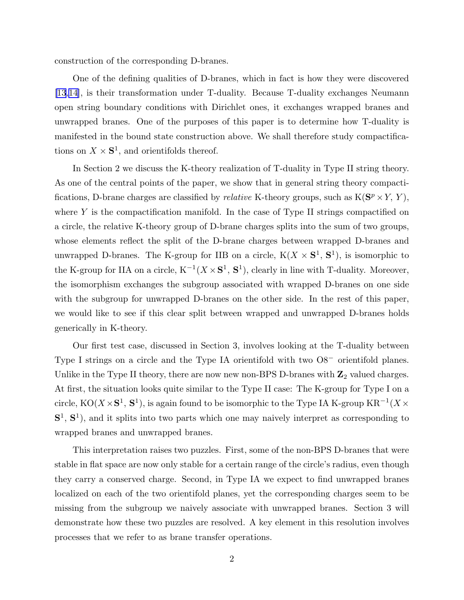construction of the corresponding D-branes.

One of the defining qualities of D-branes, which in fact is how they were discovered [\[13](#page-26-0),[14\]](#page-26-0), is their transformation under T-duality. Because T-duality exchanges Neumann open string boundary conditions with Dirichlet ones, it exchanges wrapped branes and unwrapped branes. One of the purposes of this paper is to determine how T-duality is manifested in the bound state construction above. We shall therefore study compactifications on  $X \times S^1$ , and orientifolds thereof.

In Section 2 we discuss the K-theory realization of T-duality in Type II string theory. As one of the central points of the paper, we show that in general string theory compactifications, D-brane charges are classified by *relative* K-theory groups, such as  $K(S^p \times Y, Y)$ , where  $Y$  is the compactification manifold. In the case of Type II strings compactified on a circle, the relative K-theory group of D-brane charges splits into the sum of two groups, whose elements reflect the split of the D-brane charges between wrapped D-branes and unwrapped D-branes. The K-group for IIB on a circle,  $K(X \times S^1, S^1)$ , is isomorphic to the K-group for IIA on a circle,  $K^{-1}(X \times S^1, S^1)$ , clearly in line with T-duality. Moreover, the isomorphism exchanges the subgroup associated with wrapped D-branes on one side with the subgroup for unwrapped D-branes on the other side. In the rest of this paper, we would like to see if this clear split between wrapped and unwrapped D-branes holds generically in K-theory.

Our first test case, discussed in Section 3, involves looking at the T-duality between Type I strings on a circle and the Type IA orientifold with two O8<sup>−</sup> orientifold planes. Unlike in the Type II theory, there are now new non-BPS D-branes with  $\mathbb{Z}_2$  valued charges. At first, the situation looks quite similar to the Type II case: The K-group for Type I on a circle, KO( $X \times S^1$ , S<sup>1</sup>), is again found to be isomorphic to the Type IA K-group  $KR^{-1}(X \times S^1)$  $S<sup>1</sup>$ ,  $S<sup>1</sup>$ ), and it splits into two parts which one may naively interpret as corresponding to wrapped branes and unwrapped branes.

This interpretation raises two puzzles. First, some of the non-BPS D-branes that were stable in flat space are now only stable for a certain range of the circle's radius, even though they carry a conserved charge. Second, in Type IA we expect to find unwrapped branes localized on each of the two orientifold planes, yet the corresponding charges seem to be missing from the subgroup we naively associate with unwrapped branes. Section 3 will demonstrate how these two puzzles are resolved. A key element in this resolution involves processes that we refer to as brane transfer operations.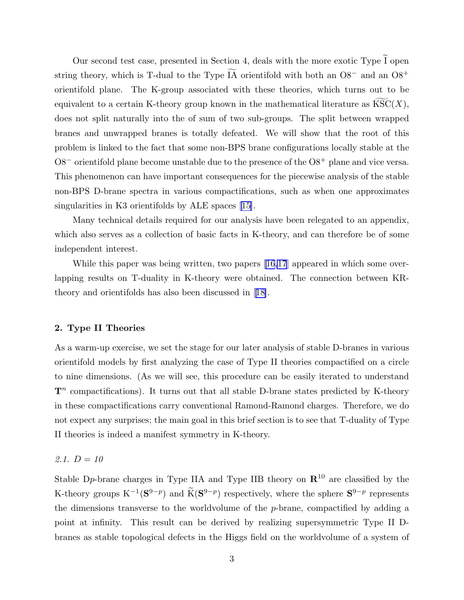Our second test case, presented in Section 4, deals with the more exotic Type  $\tilde{I}$  open string theory, which is T-dual to the Type  $\widetilde{IA}$  orientifold with both an O8<sup>-</sup> and an O8<sup>+</sup> orientifold plane. The K-group associated with these theories, which turns out to be equivalent to a certain K-theory group known in the mathematical literature as  $\text{KSC}(X)$ , does not split naturally into the of sum of two sub-groups. The split between wrapped branes and unwrapped branes is totally defeated. We will show that the root of this problem is linked to the fact that some non-BPS brane configurations locally stable at the  $\text{O8}^-$  orientifold plane become unstable due to the presence of the  $\text{O8}^+$  plane and vice versa. This phenomenon can have important consequences for the piecewise analysis of the stable non-BPS D-brane spectra in various compactifications, such as when one approximates singularitiesin K3 orientifolds by ALE spaces [[15\]](#page-26-0).

Many technical details required for our analysis have been relegated to an appendix, which also serves as a collection of basic facts in K-theory, and can therefore be of some independent interest.

While this paper was being written, two papers [\[16,17](#page-26-0)] appeared in which some overlapping results on T-duality in K-theory were obtained. The connection between KRtheory and orientifolds has also been discussed in[[18\]](#page-26-0).

#### 2. Type II Theories

As a warm-up exercise, we set the stage for our later analysis of stable D-branes in various orientifold models by first analyzing the case of Type II theories compactified on a circle to nine dimensions. (As we will see, this procedure can be easily iterated to understand  $\mathbf{T}^n$  compactifications). It turns out that all stable D-brane states predicted by K-theory in these compactifications carry conventional Ramond-Ramond charges. Therefore, we do not expect any surprises; the main goal in this brief section is to see that T-duality of Type II theories is indeed a manifest symmetry in K-theory.

#### 2.1.  $D = 10$

Stable D<sub>p</sub>-brane charges in Type IIA and Type IIB theory on  $\mathbb{R}^{10}$  are classified by the K-theory groups  $K^{-1}$  $({\bf S}^{9-p})$  and  $\widetilde{K}$  $({\bf S}^{9-p})$  respectively, where the sphere  ${\bf S}^{9-p}$  represents the dimensions transverse to the worldvolume of the p-brane, compactified by adding a point at infinity. This result can be derived by realizing supersymmetric Type II Dbranes as stable topological defects in the Higgs field on the worldvolume of a system of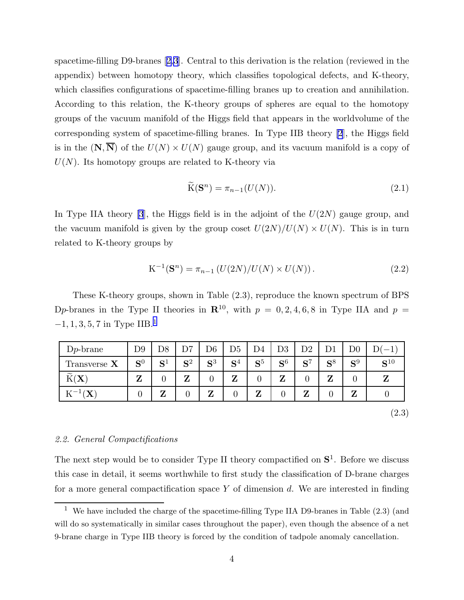spacetime-filling D9-branes[[2,3](#page-26-0)]. Central to this derivation is the relation (reviewed in the appendix) between homotopy theory, which classifies topological defects, and K-theory, which classifies configurations of spacetime-filling branes up to creation and annihilation. According to this relation, the K-theory groups of spheres are equal to the homotopy groups of the vacuum manifold of the Higgs field that appears in the worldvolume of the corresponding system of spacetime-filling branes. In Type IIB theory [\[2](#page-26-0)], the Higgs field is in the  $(N, \overline{N})$  of the  $U(N) \times U(N)$  gauge group, and its vacuum manifold is a copy of  $U(N)$ . Its homotopy groups are related to K-theory via

$$
\widetilde{\mathcal{K}}(\mathbf{S}^n) = \pi_{n-1}(U(N)).\tag{2.1}
$$

In Type IIA theory [\[3](#page-26-0)], the Higgs field is in the adjoint of the  $U(2N)$  gauge group, and the vacuum manifold is given by the group coset  $U(2N)/U(N) \times U(N)$ . This is in turn related to K-theory groups by

$$
K^{-1}(\mathbf{S}^n) = \pi_{n-1} \left( U(2N)/U(N) \times U(N) \right). \tag{2.2}
$$

These K-theory groups, shown in Table (2.3), reproduce the known spectrum of BPS Dp-branes in the Type II theories in  $\mathbb{R}^{10}$ , with  $p = 0, 2, 4, 6, 8$  in Type IIA and  $p =$  $-1, 1, 3, 5, 7$  in Type IIB.<sup>1</sup>

| $Dp$ -brane                                                                          | D <sub>9</sub> |                   | つヮ                  | D6                  | D <sub>5</sub>      | D4                  | D3                  | $\mathrm{D}2$       |                      | $\mathrm{D}0$ |                   |
|--------------------------------------------------------------------------------------|----------------|-------------------|---------------------|---------------------|---------------------|---------------------|---------------------|---------------------|----------------------|---------------|-------------------|
| Transverse $X$                                                                       | ${\bf S}^0$    | $\mathbf{C}$<br>P | $\mathbf{C}^2$<br>⊃ | $\mathbf{C}^3$<br>⊃ | $\mathbf{C}^4$<br>⊃ | $\mathbf{C}^5$<br>P | $\mathbf{C}^6$<br>P | $\mathbf{C}^7$<br>N | $\mathbf{C}^8$<br>IJ | ${\bf S}^9$   | $\mathbf{C}^{10}$ |
| $\sim$<br>N)<br>$\boldsymbol{\Lambda}$                                               | $\overline{ }$ |                   | 7                   |                     | $\overline{ }$<br>, |                     | 7                   |                     | 7                    |               |                   |
| $\mathbf{v}$<br>$\overline{\phantom{0}}$<br><b>T</b><br>K.<br>$\boldsymbol{\Lambda}$ |                | 7<br>L            |                     | 7                   |                     | n                   |                     | 7                   |                      | 7             |                   |

(2.3)

#### 2.2. General Compactifications

The next step would be to consider Type II theory compactified on  $S<sup>1</sup>$ . Before we discuss this case in detail, it seems worthwhile to first study the classification of D-brane charges for a more general compactification space  $Y$  of dimension  $d$ . We are interested in finding

<sup>&</sup>lt;sup>1</sup> We have included the charge of the spacetime-filling Type IIA D9-branes in Table  $(2.3)$  (and will do so systematically in similar cases throughout the paper), even though the absence of a net 9-brane charge in Type IIB theory is forced by the condition of tadpole anomaly cancellation.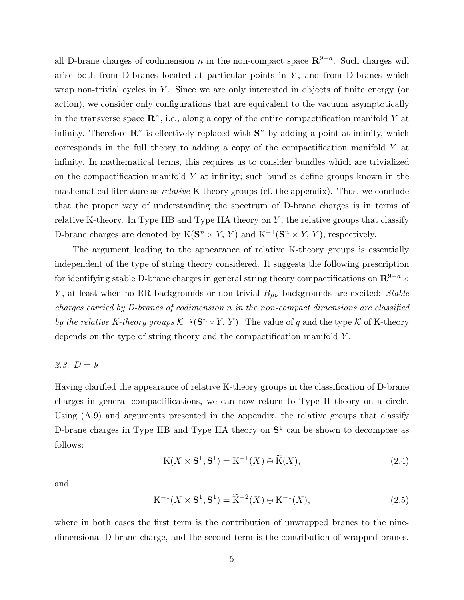<span id="page-5-0"></span>all D-brane charges of codimension n in the non-compact space  $\mathbb{R}^{9-d}$ . Such charges will arise both from D-branes located at particular points in  $Y$ , and from D-branes which wrap non-trivial cycles in  $Y$ . Since we are only interested in objects of finite energy (or action), we consider only configurations that are equivalent to the vacuum asymptotically in the transverse space  $\mathbb{R}^n$ , i.e., along a copy of the entire compactification manifold Y at infinity. Therefore  $\mathbb{R}^n$  is effectively replaced with  $\mathbb{S}^n$  by adding a point at infinity, which corresponds in the full theory to adding a copy of the compactification manifold Y at infinity. In mathematical terms, this requires us to consider bundles which are trivialized on the compactification manifold  $Y$  at infinity; such bundles define groups known in the mathematical literature as relative K-theory groups (cf. the appendix). Thus, we conclude that the proper way of understanding the spectrum of D-brane charges is in terms of relative K-theory. In Type IIB and Type IIA theory on  $Y$ , the relative groups that classify D-brane charges are denoted by  $K(\mathbf{S}^n \times Y, Y)$  and  $K^{-1}(\mathbf{S}^n \times Y, Y)$ , respectively.

The argument leading to the appearance of relative K-theory groups is essentially independent of the type of string theory considered. It suggests the following prescription for identifying stable D-brane charges in general string theory compactifications on  ${\bf R}^{9-d}\times$ Y, at least when no RR backgrounds or non-trivial  $B_{\mu\nu}$  backgrounds are excited: Stable charges carried by D-branes of codimension n in the non-compact dimensions are classified by the relative K-theory groups  $K^{-q}(\mathbf{S}^n \times Y, Y)$ . The value of q and the type K of K-theory depends on the type of string theory and the compactification manifold Y .

#### 2.3.  $D = 9$

Having clarified the appearance of relative K-theory groups in the classification of D-brane charges in general compactifications, we can now return to Type II theory on a circle. Using  $(A.9)$  and arguments presented in the appendix, the relative groups that classify D-brane charges in Type IIB and Type IIA theory on  $S<sup>1</sup>$  can be shown to decompose as follows:

$$
K(X \times S^1, S^1) = K^{-1}(X) \oplus \widetilde{K}(X),\tag{2.4}
$$

and

$$
\mathbf{K}^{-1}(X \times \mathbf{S}^1, \mathbf{S}^1) = \widetilde{\mathbf{K}}^{-2}(X) \oplus \mathbf{K}^{-1}(X),\tag{2.5}
$$

where in both cases the first term is the contribution of unwrapped branes to the ninedimensional D-brane charge, and the second term is the contribution of wrapped branes.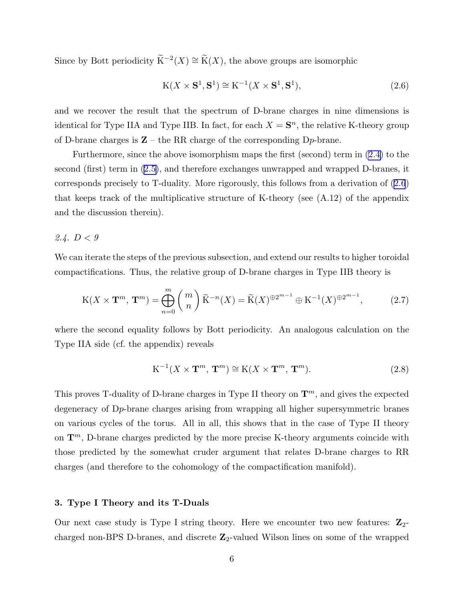<span id="page-6-0"></span>Since by Bott periodicity  $\widetilde{K}^{-2}(X) \cong \widetilde{K}(X)$ , the above groups are isomorphic

$$
K(X \times S^1, S^1) \cong K^{-1}(X \times S^1, S^1),
$$
\n(2.6)

and we recover the result that the spectrum of D-brane charges in nine dimensions is identical for Type IIA and Type IIB. In fact, for each  $X = \mathbf{S}^n$ , the relative K-theory group of D-brane charges is  $\mathbb{Z}$  – the RR charge of the corresponding D<sub>p</sub>-brane.

Furthermore, since the above isomorphism maps the first (second) term in [\(2.4\)](#page-5-0) to the second (first) term in [\(2.5\)](#page-5-0), and therefore exchanges unwrapped and wrapped D-branes, it corresponds precisely to T-duality. More rigorously, this follows from a derivation of (2.6) that keeps track of the multiplicative structure of K-theory (see  $(A.12)$ ) of the appendix and the discussion therein).

## 2.4.  $D < 9$

We can iterate the steps of the previous subsection, and extend our results to higher toroidal compactifications. Thus, the relative group of D-brane charges in Type IIB theory is

$$
\mathcal{K}(X \times \mathbf{T}^m, \mathbf{T}^m) = \bigoplus_{n=0}^{m} {m \choose n} \widetilde{\mathcal{K}}^{-n}(X) = \widetilde{\mathcal{K}}(X)^{\oplus 2^{m-1}} \oplus \mathcal{K}^{-1}(X)^{\oplus 2^{m-1}},
$$
 (2.7)

where the second equality follows by Bott periodicity. An analogous calculation on the Type IIA side (cf. the appendix) reveals

$$
K^{-1}(X \times \mathbf{T}^m, \mathbf{T}^m) \cong K(X \times \mathbf{T}^m, \mathbf{T}^m). \tag{2.8}
$$

This proves T-duality of D-brane charges in Type II theory on  $\mathbf{T}^m$ , and gives the expected degeneracy of Dp-brane charges arising from wrapping all higher supersymmetric branes on various cycles of the torus. All in all, this shows that in the case of Type II theory on  $\mathbf{T}^m$ , D-brane charges predicted by the more precise K-theory arguments coincide with those predicted by the somewhat cruder argument that relates D-brane charges to RR charges (and therefore to the cohomology of the compactification manifold).

#### 3. Type I Theory and its T-Duals

Our next case study is Type I string theory. Here we encounter two new features:  $\mathbb{Z}_{2}$ charged non-BPS D-branes, and discrete  $\mathbb{Z}_2$ -valued Wilson lines on some of the wrapped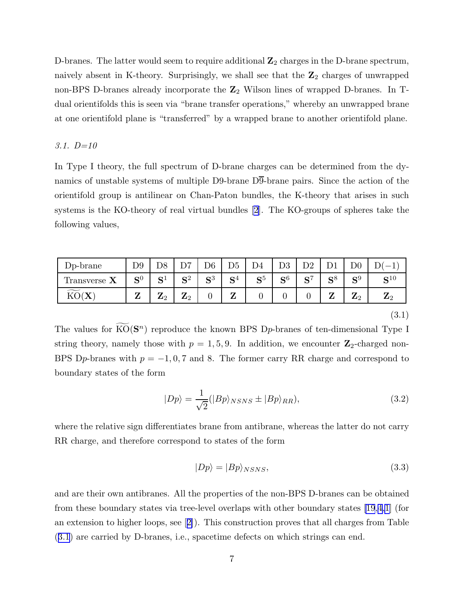D-branes. The latter would seem to require additional  $\mathbb{Z}_2$  charges in the D-brane spectrum, naively absent in K-theory. Surprisingly, we shall see that the  $\mathbb{Z}_2$  charges of unwrapped non-BPS D-branes already incorporate the  $\mathbb{Z}_2$  Wilson lines of wrapped D-branes. In Tdual orientifolds this is seen via "brane transfer operations," whereby an unwrapped brane at one orientifold plane is "transferred" by a wrapped brane to another orientifold plane.

#### 3.1. D=10

In Type I theory, the full spectrum of D-brane charges can be determined from the dynamics of unstable systems of multiple D9-brane D9-brane pairs. Since the action of the orientifold group is antilinear on Chan-Paton bundles, the K-theory that arises in such systems is the KO-theory of real virtual bundles [\[2](#page-26-0)]. The KO-groups of spheres take the following values,

| $Dp\text{-brane}$      | $\mathrm{D}9$       | D <sub>8</sub>      | $\mathbf{D}$         | D6                  | D <sub>5</sub> | D4                  | no                             | D2                          |                     | $\mathrm{D}0$       |                   |
|------------------------|---------------------|---------------------|----------------------|---------------------|----------------|---------------------|--------------------------------|-----------------------------|---------------------|---------------------|-------------------|
| Transverse $\mathbf X$ | $\mathbf{C}^0$<br>P | $C_{\perp}$<br>ັ    | $\mathbf{C}^2$<br>ັບ | $\mathbf{C}^3$<br>⊃ | ${\bf S}^4$    | $\mathbf{C}^5$<br>ັ | $\mathbf{C}$ <sup>6</sup><br>N | $\mathbf{C}^{\prime}$<br>ັບ | $\mathbf{C}^8$<br>P | $\mathbf{C}^9$<br>N | $\mathbf{C}^{10}$ |
| KO(X)                  | $\overline{ }$      | 7<br>$\mathbf{z}_2$ | 7<br>$\mathbf{z}_2$  |                     | 7<br>▱         |                     |                                |                             | ∼                   | 7<br>42             | ு                 |

(3.1)

The values for  $\widetilde{KO}(S^n)$  reproduce the known BPS D<sub>p</sub>-branes of ten-dimensional Type I string theory, namely those with  $p = 1, 5, 9$ . In addition, we encounter  $\mathbb{Z}_2$ -charged non-BPS Dp-branes with  $p = -1, 0, 7$  and 8. The former carry RR charge and correspond to boundary states of the form

$$
|Dp\rangle = \frac{1}{\sqrt{2}} (|Bp\rangle_{NSNS} \pm |Bp\rangle_{RR}),
$$
\n(3.2)

where the relative sign differentiates brane from antibrane, whereas the latter do not carry RR charge, and therefore correspond to states of the form

$$
|Dp\rangle = |Bp\rangle_{NSNS},\tag{3.3}
$$

and are their own antibranes. All the properties of the non-BPS D-branes can be obtained from these boundary states via tree-level overlaps with other boundary states [\[19](#page-26-0),[4,1](#page-26-0)] (for an extension to higher loops, see[[2\]](#page-26-0)). This construction proves that all charges from Table (3.1) are carried by D-branes, i.e., spacetime defects on which strings can end.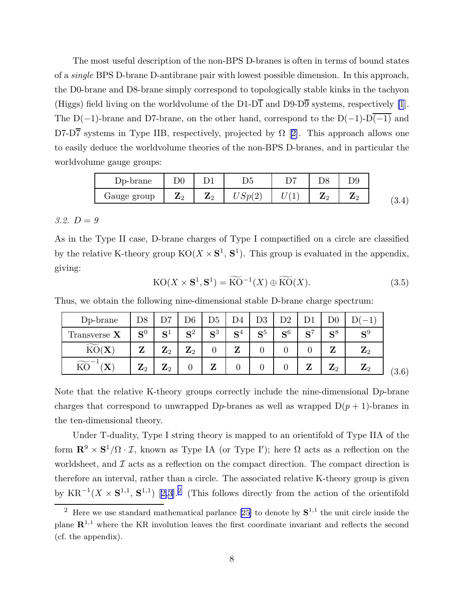<span id="page-8-0"></span>The most useful description of the non-BPS D-branes is often in terms of bound states of a single BPS D-brane D-antibrane pair with lowest possible dimension. In this approach, the D0-brane and D8-brane simply correspond to topologically stable kinks in the tachyon (Higgs) field living on the worldvolume of the D1-D $\overline{1}$  and D9-D $\overline{9}$  systems, respectively [\[1](#page-26-0)]. The D(−1)-brane and D7-brane, on the other hand, correspond to the D(−1)-D $\overline{(-1)}$  and D7-D7systems in Type IIB, respectively, projected by  $\Omega$  [[2\]](#page-26-0). This approach allows one to easily deduce the worldvolume theories of the non-BPS D-branes, and in particular the worldvolume gauge groups:

| D <sub>p</sub> -brane | ${\rm D}0$     |                |               | ㄲ |        |                      |     |
|-----------------------|----------------|----------------|---------------|---|--------|----------------------|-----|
| Gauge group           | $\mathbf{z}_2$ | $\mathbf{z}_2$ | Smi<br>↵<br>∼ |   | ൧<br>- | $\mathbf{Z}^{\circ}$ | 0.4 |

## 3.2.  $D = 9$

As in the Type II case, D-brane charges of Type I compactified on a circle are classified by the relative K-theory group  $KO(X \times S^1, S^1)$ . This group is evaluated in the appendix, giving:

$$
KO(X \times S^1, S^1) = \widetilde{KO}^{-1}(X) \oplus \widetilde{KO}(X). \tag{3.5}
$$

Thus, we obtain the following nine-dimensional stable D-brane charge spectrum:

| D <sub>p</sub> -brane                                 | D <sub>8</sub> | ᡗ                              | $\mathrm{D}6$ | D5    | D4                  | D <sub>3</sub> | D2          |                |             |             |       |
|-------------------------------------------------------|----------------|--------------------------------|---------------|-------|---------------------|----------------|-------------|----------------|-------------|-------------|-------|
| Transverse $X$                                        | ${\bf S}^0$    | ${\bf S}^1$                    | ${\bf S}^2$   | $S^3$ | $\mathbf{C}^4$<br>○ | $\mathbf{S}^5$ | ${\bf S}^6$ | $\mathbf{C}^7$ | $S^8$       | $S^9$       |       |
| $\widetilde{\phantom{m}}$<br>KO(X)                    | Z              | ${\bf Z}_2$                    | ${\bf Z}_2$   |       | 7                   |                |             |                | 7           | ${\bf Z}_2$ |       |
| $\widetilde{{\rm KO}}^{-1}$<br>$\boldsymbol{\Lambda}$ | ${\bf Z}_2$    | $\mathbf{z}$<br>$\mathbf{z}_2$ |               | 7     | 0                   |                | 0           | 7<br>◢         | ${\bf Z}_2$ | ${\bf Z}_2$ | (3.6) |

Note that the relative K-theory groups correctly include the nine-dimensional Dp-brane charges that correspond to unwrapped  $D_p$ -branes as well as wrapped  $D(p + 1)$ -branes in the ten-dimensional theory.

Under T-duality, Type I string theory is mapped to an orientifold of Type IIA of the form  $\mathbb{R}^9 \times \mathbb{S}^1/\Omega \cdot \mathcal{I}$ , known as Type IA (or Type I'); here  $\Omega$  acts as a reflection on the worldsheet, and  $\mathcal I$  acts as a reflection on the compact direction. The compact direction is therefore an interval, rather than a circle. The associated relative K-theory group is given by $KR^{-1}(X \times S^{1,1}, S^{1,1})$  [[2,3](#page-26-0)].<sup>2</sup> (This follows directly from the action of the orientifold

<sup>&</sup>lt;sup>2</sup>Here we use standard mathematical parlance [[25\]](#page-27-0) to denote by  $S^{1,1}$  the unit circle inside the plane  $\mathbb{R}^{1,1}$  where the KR involution leaves the first coordinate invariant and reflects the second (cf. the appendix).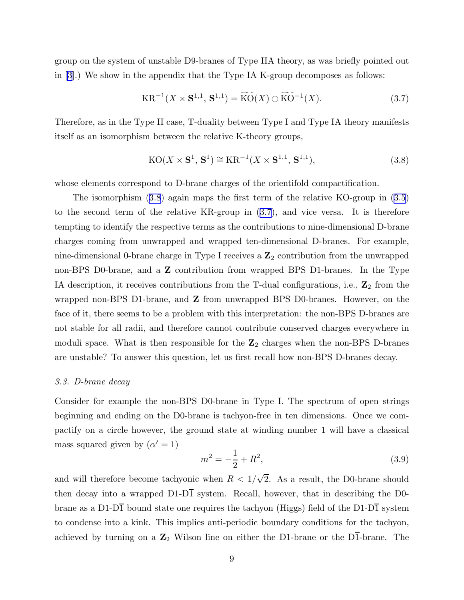group on the system of unstable D9-branes of Type IIA theory, as was briefly pointed out in [\[3](#page-26-0)].) We show in the appendix that the Type IA K-group decomposes as follows:

$$
KR^{-1}(X \times S^{1,1}, S^{1,1}) = \widetilde{KO}(X) \oplus \widetilde{KO}^{-1}(X). \tag{3.7}
$$

Therefore, as in the Type II case, T-duality between Type I and Type IA theory manifests itself as an isomorphism between the relative K-theory groups,

$$
KO(X \times \mathbf{S}^1, \mathbf{S}^1) \cong KR^{-1}(X \times \mathbf{S}^{1,1}, \mathbf{S}^{1,1}),
$$
\n(3.8)

whose elements correspond to D-brane charges of the orientifold compactification.

The isomorphism (3.8) again maps the first term of the relative KO-group in [\(3.5](#page-8-0)) to the second term of the relative KR-group in (3.7), and vice versa. It is therefore tempting to identify the respective terms as the contributions to nine-dimensional D-brane charges coming from unwrapped and wrapped ten-dimensional D-branes. For example, nine-dimensional 0-brane charge in Type I receives a  $\mathbb{Z}_2$  contribution from the unwrapped non-BPS D0-brane, and a **Z** contribution from wrapped BPS D1-branes. In the Type IA description, it receives contributions from the T-dual configurations, i.e.,  $\mathbb{Z}_2$  from the wrapped non-BPS D1-brane, and Z from unwrapped BPS D0-branes. However, on the face of it, there seems to be a problem with this interpretation: the non-BPS D-branes are not stable for all radii, and therefore cannot contribute conserved charges everywhere in moduli space. What is then responsible for the  $\mathbb{Z}_2$  charges when the non-BPS D-branes are unstable? To answer this question, let us first recall how non-BPS D-branes decay.

#### 3.3. D-brane decay

Consider for example the non-BPS D0-brane in Type I. The spectrum of open strings beginning and ending on the D0-brane is tachyon-free in ten dimensions. Once we compactify on a circle however, the ground state at winding number 1 will have a classical mass squared given by  $(\alpha' = 1)$ 

$$
m^2 = -\frac{1}{2} + R^2,\tag{3.9}
$$

and will therefore become tachyonic when  $R < 1/\sqrt{2}$ . As a result, the D0-brane should then decay into a wrapped  $D1-D\overline{1}$  system. Recall, however, that in describing the D0brane as a D1-D $\overline{1}$  bound state one requires the tachyon (Higgs) field of the D1-D $\overline{1}$  system to condense into a kink. This implies anti-periodic boundary conditions for the tachyon, achieved by turning on a  $\mathbb{Z}_2$  Wilson line on either the D1-brane or the D1-brane. The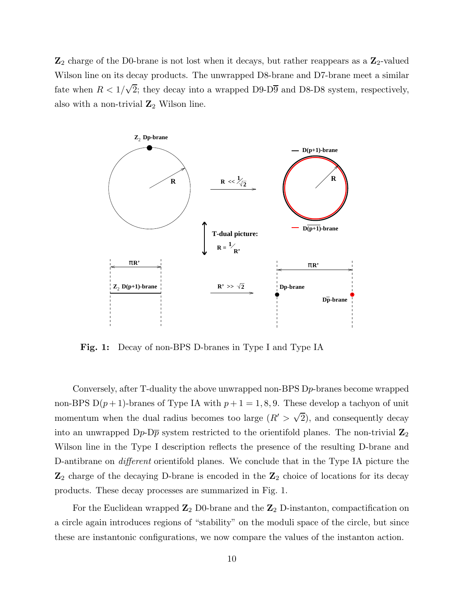$\mathbb{Z}_2$  charge of the D0-brane is not lost when it decays, but rather reappears as a  $\mathbb{Z}_2$ -valued Wilson line on its decay products. The unwrapped D8-brane and D7-brane meet a similar fate when  $R < 1/\sqrt{2}$ ; they decay into a wrapped D9-D9 and D8-D8 system, respectively, also with a non-trivial  $\mathbb{Z}_2$  Wilson line.



Fig. 1: Decay of non-BPS D-branes in Type I and Type IA

Conversely, after T-duality the above unwrapped non-BPS Dp-branes become wrapped non-BPS  $D(p+1)$ -branes of Type IA with  $p+1=1,8,9$ . These develop a tachyon of unit momentum when the dual radius becomes too large  $(R' > \sqrt{2})$ , and consequently decay into an unwrapped  $D_p$ - $D_p$  system restricted to the orientifold planes. The non-trivial  $\mathbb{Z}_2$ Wilson line in the Type I description reflects the presence of the resulting D-brane and D-antibrane on *different* orientifold planes. We conclude that in the Type IA picture the  $\mathbb{Z}_2$  charge of the decaying D-brane is encoded in the  $\mathbb{Z}_2$  choice of locations for its decay products. These decay processes are summarized in Fig. 1.

For the Euclidean wrapped  $\mathbb{Z}_2$  D0-brane and the  $\mathbb{Z}_2$  D-instanton, compactification on a circle again introduces regions of "stability" on the moduli space of the circle, but since these are instantonic configurations, we now compare the values of the instanton action.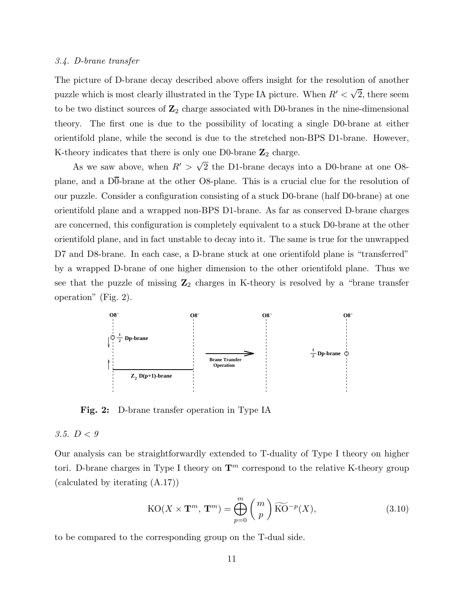#### <span id="page-11-0"></span>3.4. D-brane transfer

The picture of D-brane decay described above offers insight for the resolution of another puzzle which is most clearly illustrated in the Type IA picture. When  $R' < \sqrt{2}$ , there seem to be two distinct sources of  $\mathbb{Z}_2$  charge associated with D0-branes in the nine-dimensional theory. The first one is due to the possibility of locating a single D0-brane at either orientifold plane, while the second is due to the stretched non-BPS D1-brane. However, K-theory indicates that there is only one D0-brane  $\mathbb{Z}_2$  charge.

As we saw above, when  $R' > \sqrt{2}$  the D1-brane decays into a D0-brane at one O8plane, and a  $D\overline{0}$ -brane at the other O8-plane. This is a crucial clue for the resolution of our puzzle. Consider a configuration consisting of a stuck D0-brane (half D0-brane) at one orientifold plane and a wrapped non-BPS D1-brane. As far as conserved D-brane charges are concerned, this configuration is completely equivalent to a stuck D0-brane at the other orientifold plane, and in fact unstable to decay into it. The same is true for the unwrapped D7 and D8-brane. In each case, a D-brane stuck at one orientifold plane is "transferred" by a wrapped D-brane of one higher dimension to the other orientifold plane. Thus we see that the puzzle of missing  $\mathbb{Z}_2$  charges in K-theory is resolved by a "brane transfer operation" (Fig. 2).



Fig. 2: D-brane transfer operation in Type IA

#### 3.5.  $D < 9$

Our analysis can be straightforwardly extended to T-duality of Type I theory on higher tori. D-brane charges in Type I theory on  $\mathbf{T}^m$  correspond to the relative K-theory group (calculated by iterating (A.17))

$$
KO(X \times \mathbf{T}^m, \mathbf{T}^m) = \bigoplus_{p=0}^{m} \binom{m}{p} \widetilde{KO}^{-p}(X), \tag{3.10}
$$

to be compared to the corresponding group on the T-dual side.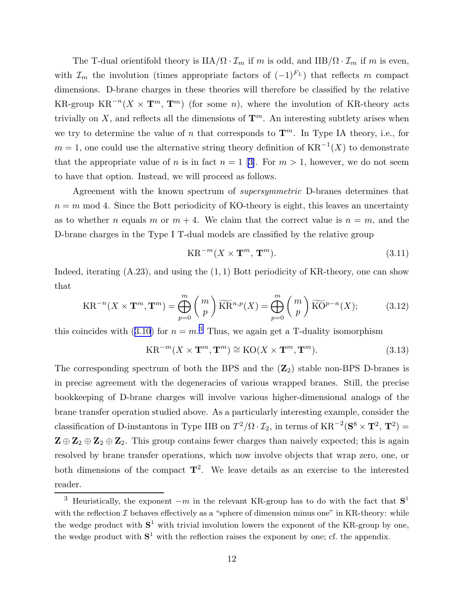<span id="page-12-0"></span>The T-dual orientifold theory is  $IIA/\Omega \cdot \mathcal{I}_m$  if m is odd, and  $IIIB/\Omega \cdot \mathcal{I}_m$  if m is even, with  $\mathcal{I}_m$  the involution (times appropriate factors of  $(-1)^{F_L}$ ) that reflects m compact dimensions. D-brane charges in these theories will therefore be classified by the relative KR-group  $KR^{-n}(X \times T^m, T^m)$  (for some *n*), where the involution of KR-theory acts trivially on X, and reflects all the dimensions of  $\mathbf{T}^m$ . An interesting subtlety arises when we try to determine the value of n that corresponds to  $\mathbf{T}^m$ . In Type IA theory, i.e., for  $m = 1$ , one could use the alternative string theory definition of  $KR^{-1}(X)$  to demonstrate thatthe appropriate value of n is in fact  $n = 1$  [[3\]](#page-26-0). For  $m > 1$ , however, we do not seem to have that option. Instead, we will proceed as follows.

Agreement with the known spectrum of supersymmetric D-branes determines that  $n = m \mod 4$ . Since the Bott periodicity of KO-theory is eight, this leaves an uncertainty as to whether *n* equals *m* or  $m + 4$ . We claim that the correct value is  $n = m$ , and the D-brane charges in the Type I T-dual models are classified by the relative group

$$
KR^{-m}(X \times \mathbf{T}^m, \mathbf{T}^m). \tag{3.11}
$$

Indeed, iterating  $(A.23)$ , and using the  $(1, 1)$  Bott periodicity of KR-theory, one can show that

$$
KR^{-n}(X \times \mathbf{T}^m, \mathbf{T}^m) = \bigoplus_{p=0}^m {m \choose p} \widetilde{KR}^{n,p}(X) = \bigoplus_{p=0}^m {m \choose p} \widetilde{KO}^{p-n}(X); \tag{3.12}
$$

this coincides with ([3.10](#page-11-0)) for  $n = m<sup>3</sup>$ . Thus, we again get a T-duality isomorphism

$$
KR^{-m}(X \times \mathbf{T}^m, \mathbf{T}^m) \cong KO(X \times \mathbf{T}^m, \mathbf{T}^m). \tag{3.13}
$$

The corresponding spectrum of both the BPS and the  $(\mathbb{Z}_2)$  stable non-BPS D-branes is in precise agreement with the degeneracies of various wrapped branes. Still, the precise bookkeeping of D-brane charges will involve various higher-dimensional analogs of the brane transfer operation studied above. As a particularly interesting example, consider the classification of D-instantons in Type IIB on  $T^2/\Omega \cdot \mathcal{I}_2$ , in terms of  $KR^{-2}(S^8 \times T^2, T^2)$  =  $\mathbf{Z} \oplus \mathbf{Z}_2 \oplus \mathbf{Z}_2 \oplus \mathbf{Z}_2$ . This group contains fewer charges than naively expected; this is again resolved by brane transfer operations, which now involve objects that wrap zero, one, or both dimensions of the compact  $\mathbf{T}^2$ . We leave details as an exercise to the interested reader.

<sup>&</sup>lt;sup>3</sup> Heuristically, the exponent  $-m$  in the relevant KR-group has to do with the fact that  $S<sup>1</sup>$ with the reflection  $\mathcal I$  behaves effectively as a "sphere of dimension minus one" in KR-theory: while the wedge product with  $S^1$  with trivial involution lowers the exponent of the KR-group by one, the wedge product with  $S^1$  with the reflection raises the exponent by one; cf. the appendix.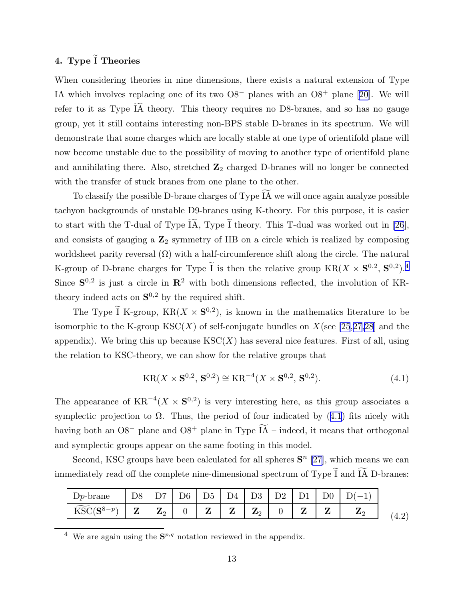# <span id="page-13-0"></span>4. Type  $\tilde{I}$  Theories

When considering theories in nine dimensions, there exists a natural extension of Type IA which involves replacing one of its two  $O8^-$  planes with an  $O8^+$  plane [\[20](#page-27-0)]. We will refer to it as Type IA theory. This theory requires no D8-branes, and so has no gauge group, yet it still contains interesting non-BPS stable D-branes in its spectrum. We will demonstrate that some charges which are locally stable at one type of orientifold plane will now become unstable due to the possibility of moving to another type of orientifold plane and annihilating there. Also, stretched  $\mathbb{Z}_2$  charged D-branes will no longer be connected with the transfer of stuck branes from one plane to the other.

To classify the possible D-brane charges of Type IA we will once again analyze possible f tachyon backgrounds of unstable D9-branes using K-theory. For this purpose, it is easier to start with the T-dual of Type  $\widetilde{IA}$ , Type  $\widetilde{I}$  theory. This T-dual was worked out in [\[26](#page-27-0)], and consists of gauging a  $\mathbb{Z}_2$  symmetry of IIB on a circle which is realized by composing worldsheet parity reversal  $(\Omega)$  with a half-circumference shift along the circle. The natural K-group of D-brane charges for Type  $\tilde{I}$  is then the relative group  $KR(X \times S^{0,2}, S^{0,2}).^4$ Since  $S^{0,2}$  is just a circle in  $\mathbb{R}^2$  with both dimensions reflected, the involution of KRtheory indeed acts on  $S^{0,2}$  by the required shift.

The Type I K-group,  $KR(X \times S^{0,2})$ , is known in the mathematics literature to be isomorphic to the K-group  $\text{KSC}(X)$  of self-conjugate bundles on  $X$ (see [\[25](#page-27-0),[27,28](#page-27-0)] and the appendix). We bring this up because  $\text{KSC}(X)$  has several nice features. First of all, using the relation to KSC-theory, we can show for the relative groups that

$$
KR(X \times S^{0,2}, S^{0,2}) \cong KR^{-4}(X \times S^{0,2}, S^{0,2}).
$$
\n(4.1)

The appearance of  $KR^{-4}(X \times S^{0,2})$  is very interesting here, as this group associates a symplectic projection to  $\Omega$ . Thus, the period of four indicated by (4.1) fits nicely with having both an  $O8^-$  plane and  $O8^+$  plane in Type IA – indeed, it means that orthogonal and symplectic groups appear on the same footing in this model.

Second, KSC groups have been calculated for all spheres  $S<sup>n</sup>$  [[27\]](#page-27-0), which means we can immediately read off the complete nine-dimensional spectrum of Type  $\widetilde{I}$  and  $\widetilde{IA}$  D-branes:

| $\cdot$ 1 $n_{-1}$ | D <sub>8</sub><br><u>.</u> |                                                |             |        | $\overline{\phantom{a}}$<br>. . | D3 -                     | __ | - -    |        | ∸ |
|--------------------|----------------------------|------------------------------------------------|-------------|--------|---------------------------------|--------------------------|----|--------|--------|---|
| 17n                | -<br>-                     | $\overline{ }$<br>$\mathbf{Z}^{\alpha}$<br>- 4 | $\sim$<br>ີ | -<br>- | 7<br>↵                          | 7<br>$\mathbf{Z}$<br>ت - |    | -<br>- | -<br>- | 7 |

<sup>&</sup>lt;sup>4</sup> We are again using the  $S^{p,q}$  notation reviewed in the appendix.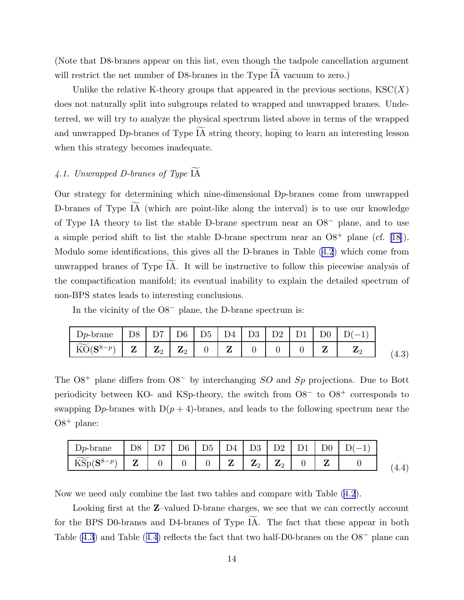<span id="page-14-0"></span>(Note that D8-branes appear on this list, even though the tadpole cancellation argument will restrict the net number of D8-branes in the Type  $\widetilde{IA}$  vacuum to zero.)

Unlike the relative K-theory groups that appeared in the previous sections,  $\text{KSC}(X)$ does not naturally split into subgroups related to wrapped and unwrapped branes. Undeterred, we will try to analyze the physical spectrum listed above in terms of the wrapped and unwrapped D<sub>p</sub>-branes of Type IA string theory, hoping to learn an interesting lesson when this strategy becomes inadequate.

## 4.1. Unwrapped D-branes of Type  $\widetilde{IA}$

Our strategy for determining which nine-dimensional  $D_p$ -branes come from unwrapped D-branes of Type  $\widetilde{IA}$  (which are point-like along the interval) is to use our knowledge of Type IA theory to list the stable D-brane spectrum near an  $O8^-$  plane, and to use asimple period shift to list the stable D-brane spectrum near an  $O8<sup>+</sup>$  plane (cf. [[18\]](#page-26-0)). Modulo some identifications, this gives all the D-branes in Table [\(4.2](#page-13-0)) which come from unwrapped branes of Type IA. It will be instructive to follow this piecewise analysis of the compactification manifold; its eventual inability to explain the detailed spectrum of non-BPS states leads to interesting conclusions.

In the vicinity of the O8<sup>−</sup> plane, the D-brane spectrum is:

| $\Box p$ -brane | D <sub>8</sub> |                | D7   D6   D5   |  | D4   D3 | D2 |  |  |
|-----------------|----------------|----------------|----------------|--|---------|----|--|--|
|                 | $\overline{ }$ | $\mathbf{Z}_2$ | $\mathbf{Z}_2$ |  |         |    |  |  |

The  $O8^+$  plane differs from  $O8^-$  by interchanging  $SO$  and  $Sp$  projections. Due to Bott periodicity between KO- and KSp-theory, the switch from O8<sup>−</sup> to O8<sup>+</sup> corresponds to swapping D<sub>p</sub>-branes with  $D(p + 4)$ -branes, and leads to the following spectrum near the  $O8^+$  plane:

| $Dp$ -brane                                         | ıх | D7 | ገ6 | D5 | D <sub>4</sub> | D3                         | - 112 -                        |   |   |  |
|-----------------------------------------------------|----|----|----|----|----------------|----------------------------|--------------------------------|---|---|--|
| $\widetilde{K}$<br>$^{\prime}$ $\sim$ $\!8$<br>T2DD |    | ັ  | ◡  |    | 7<br>∼         | $\overline{ }$<br>הו'<br>- | $\overline{ }$<br>$40^{\circ}$ | ◡ | − |  |

Now we need only combine the last two tables and compare with Table [\(4.2](#page-13-0)).

Looking first at the **Z**-valued D-brane charges, we see that we can correctly account for the BPS D0-branes and D4-branes of Type  $\widetilde{IA}$ . The fact that these appear in both Table (4.3) and Table (4.4) reflects the fact that two half-D0-branes on the O8<sup>−</sup> plane can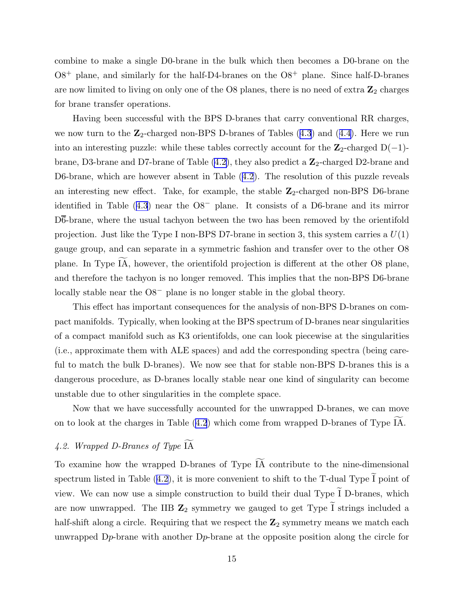combine to make a single D0-brane in the bulk which then becomes a D0-brane on the  $O8^+$  plane, and similarly for the half-D4-branes on the  $O8^+$  plane. Since half-D-branes are now limited to living on only one of the O8 planes, there is no need of extra  $\mathbb{Z}_2$  charges for brane transfer operations.

Having been successful with the BPS D-branes that carry conventional RR charges, we now turn to the  $\mathbb{Z}_2$ -charged non-BPS D-branes of Tables  $(4.3)$  $(4.3)$  $(4.3)$  and  $(4.4)$  $(4.4)$ . Here we run into an interesting puzzle: while these tables correctly account for the  $\mathbb{Z}_2$ -charged D(-1)brane, D3-brane and D7-brane of Table  $(4.2)$ , they also predict a  $\mathbb{Z}_2$ -charged D2-brane and D6-brane, which are however absent in Table ([4.2](#page-13-0)). The resolution of this puzzle reveals an interesting new effect. Take, for example, the stable  $\mathbb{Z}_2$ -charged non-BPS D6-brane identified in Table ([4.3](#page-14-0)) near the O8<sup>−</sup> plane. It consists of a D6-brane and its mirror D6-brane, where the usual tachyon between the two has been removed by the orientifold projection. Just like the Type I non-BPS D7-brane in section 3, this system carries a  $U(1)$ gauge group, and can separate in a symmetric fashion and transfer over to the other O8 plane. In Type IA, however, the orientifold projection is different at the other O8 plane, and therefore the tachyon is no longer removed. This implies that the non-BPS D6-brane locally stable near the O8<sup>−</sup> plane is no longer stable in the global theory.

This effect has important consequences for the analysis of non-BPS D-branes on compact manifolds. Typically, when looking at the BPS spectrum of D-branes near singularities of a compact manifold such as K3 orientifolds, one can look piecewise at the singularities (i.e., approximate them with ALE spaces) and add the corresponding spectra (being careful to match the bulk D-branes). We now see that for stable non-BPS D-branes this is a dangerous procedure, as D-branes locally stable near one kind of singularity can become unstable due to other singularities in the complete space.

Now that we have successfully accounted for the unwrapped D-branes, we can move on to look at the charges in Table [\(4.2](#page-13-0)) which come from wrapped D-branes of Type  $\widetilde{IA}$ .

## 4.2. Wrapped D-Branes of Type  $\widetilde{IA}$

To examine how the wrapped D-branes of Type  $\widetilde{IA}$  contribute to the nine-dimensional spectrum listed in Table ([4.2](#page-13-0)), it is more convenient to shift to the T-dual Type  $\tilde{I}$  point of view. We can now use a simple construction to build their dual Type  $\widetilde{I}$  D-branes, which are now unwrapped. The IIB  $\mathbb{Z}_2$  symmetry we gauged to get Type  $\widetilde{I}$  strings included a half-shift along a circle. Requiring that we respect the  $\mathbb{Z}_2$  symmetry means we match each unwrapped  $D_p$ -brane with another  $D_p$ -brane at the opposite position along the circle for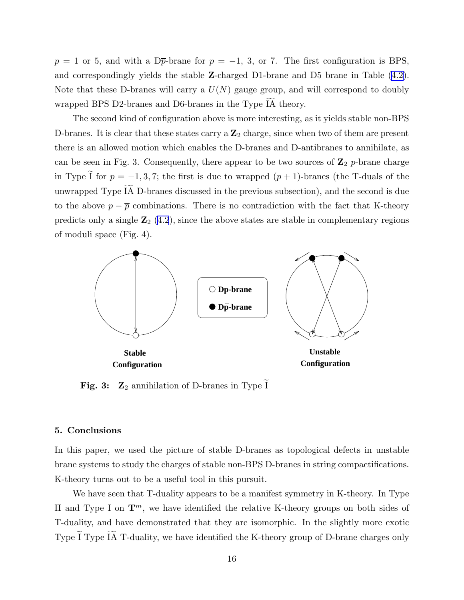$p = 1$  or 5, and with a D<sub>p</sub>-brane for  $p = -1, 3,$  or 7. The first configuration is BPS, and correspondingly yields the stable Z-charged D1-brane and D5 brane in Table ([4.2](#page-13-0)). Note that these D-branes will carry a  $U(N)$  gauge group, and will correspond to doubly wrapped BPS D2-branes and D6-branes in the Type IA theory.

The second kind of configuration above is more interesting, as it yields stable non-BPS D-branes. It is clear that these states carry a  $\mathbb{Z}_2$  charge, since when two of them are present there is an allowed motion which enables the D-branes and D-antibranes to annihilate, as can be seen in Fig. 3. Consequently, there appear to be two sources of  $\mathbb{Z}_2$  p-brane charge in Type  $\tilde{I}$  for  $p = -1, 3, 7$ ; the first is due to wrapped  $(p + 1)$ -branes (the T-duals of the unwrapped Type  $\widetilde{IA}$  D-branes discussed in the previous subsection), and the second is due to the above  $p - \overline{p}$  combinations. There is no contradiction with the fact that K-theory predicts only a single  $\mathbb{Z}_2$  [\(4.2](#page-13-0)), since the above states are stable in complementary regions of moduli space (Fig. 4).



**Fig. 3:**  $\mathbb{Z}_2$  annihilation of D-branes in Type I

#### 5. Conclusions

In this paper, we used the picture of stable D-branes as topological defects in unstable brane systems to study the charges of stable non-BPS D-branes in string compactifications. K-theory turns out to be a useful tool in this pursuit.

We have seen that T-duality appears to be a manifest symmetry in K-theory. In Type II and Type I on  $\mathbf{T}^m$ , we have identified the relative K-theory groups on both sides of T-duality, and have demonstrated that they are isomorphic. In the slightly more exotic Type  $\widetilde{I}$  Type  $\widetilde{I}$  T-duality, we have identified the K-theory group of D-brane charges only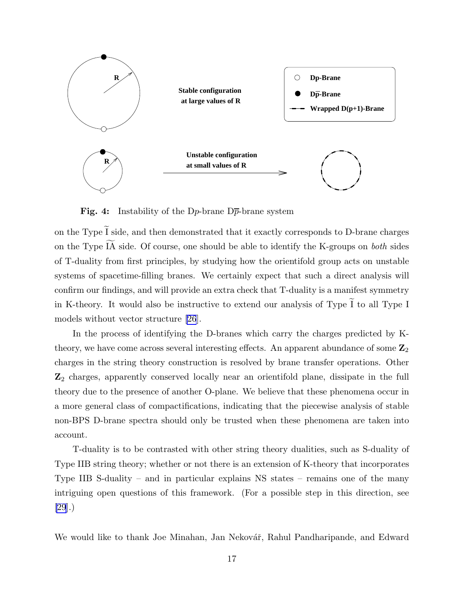

**Fig. 4:** Instability of the D<sub>p</sub>-brane D<sub> $\overline{p}$ </sub>-brane system

on the Type  $\widetilde{I}$  side, and then demonstrated that it exactly corresponds to D-brane charges on the Type  $\widetilde{IA}$  side. Of course, one should be able to identify the K-groups on both sides of T-duality from first principles, by studying how the orientifold group acts on unstable systems of spacetime-filling branes. We certainly expect that such a direct analysis will confirm our findings, and will provide an extra check that T-duality is a manifest symmetry in K-theory. It would also be instructive to extend our analysis of Type  $\tilde{I}$  to all Type I models without vector structure [\[26](#page-27-0)].

In the process of identifying the D-branes which carry the charges predicted by Ktheory, we have come across several interesting effects. An apparent abundance of some  $\mathbb{Z}_2$ charges in the string theory construction is resolved by brane transfer operations. Other  $\mathbb{Z}_2$  charges, apparently conserved locally near an orientifold plane, dissipate in the full theory due to the presence of another O-plane. We believe that these phenomena occur in a more general class of compactifications, indicating that the piecewise analysis of stable non-BPS D-brane spectra should only be trusted when these phenomena are taken into account.

T-duality is to be contrasted with other string theory dualities, such as S-duality of Type IIB string theory; whether or not there is an extension of K-theory that incorporates Type IIB S-duality – and in particular explains NS states – remains one of the many intriguing open questions of this framework. (For a possible step in this direction, see [\[29](#page-27-0)].)

We would like to thank Joe Minahan, Jan Nekovář, Rahul Pandharipande, and Edward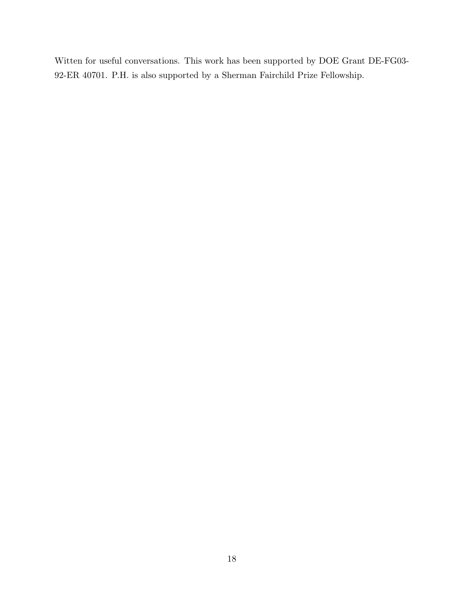Witten for useful conversations. This work has been supported by DOE Grant DE-FG03- 92-ER 40701. P.H. is also supported by a Sherman Fairchild Prize Fellowship.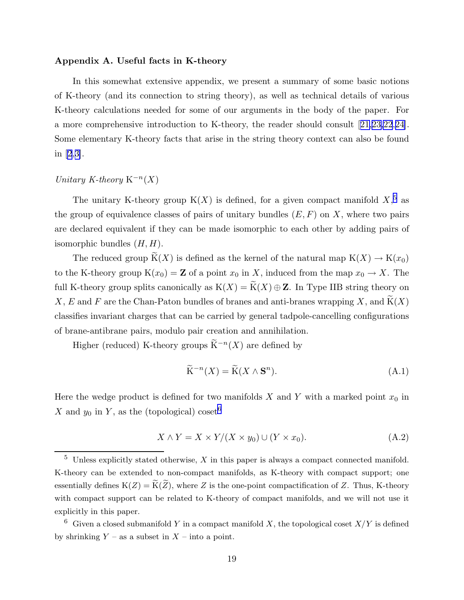#### Appendix A. Useful facts in K-theory

In this somewhat extensive appendix, we present a summary of some basic notions of K-theory (and its connection to string theory), as well as technical details of various K-theory calculations needed for some of our arguments in the body of the paper. For a more comprehensive introduction to K-theory, the reader should consult[[21,23,22](#page-27-0),[24\]](#page-27-0). Some elementary K-theory facts that arise in the string theory context can also be found in [\[2](#page-26-0),[3\]](#page-26-0).

## Unitary K-theory  $K^{-n}(X)$

The unitary K-theory group  $K(X)$  is defined, for a given compact manifold  $X$ <sup>5</sup>, as the group of equivalence classes of pairs of unitary bundles  $(E, F)$  on X, where two pairs are declared equivalent if they can be made isomorphic to each other by adding pairs of isomorphic bundles  $(H, H)$ .

The reduced group  $\widetilde{K}(X)$  is defined as the kernel of the natural map  $K(X) \to K(x_0)$ to the K-theory group  $K(x_0) = \mathbb{Z}$  of a point  $x_0$  in X, induced from the map  $x_0 \to X$ . The full K-theory group splits canonically as  $K(X) = \widetilde{K}(X) \oplus \mathbb{Z}$ . In Type IIB string theory on X, E and F are the Chan-Paton bundles of branes and anti-branes wrapping X, and  $\widetilde{K}(X)$ classifies invariant charges that can be carried by general tadpole-cancelling configurations of brane-antibrane pairs, modulo pair creation and annihilation.

Higher (reduced) K-theory groups  $\widetilde{\mathrm{K}}^{-n}(X)$  are defined by

$$
\widetilde{\mathbf{K}}^{-n}(X) = \widetilde{\mathbf{K}}(X \wedge \mathbf{S}^n). \tag{A.1}
$$

Here the wedge product is defined for two manifolds X and Y with a marked point  $x_0$  in X and  $y_0$  in Y, as the (topological) coset<sup>6</sup>

$$
X \wedge Y = X \times Y/(X \times y_0) \cup (Y \times x_0).
$$
 (A.2)

 $5$  Unless explicitly stated otherwise,  $X$  in this paper is always a compact connected manifold. K-theory can be extended to non-compact manifolds, as K-theory with compact support; one essentially defines  $K(Z) = \widetilde{K}(\widetilde{Z})$ , where Z is the one-point compactification of Z. Thus, K-theory with compact support can be related to K-theory of compact manifolds, and we will not use it explicitly in this paper.

<sup>&</sup>lt;sup>6</sup> Given a closed submanifold Y in a compact manifold X, the topological coset  $X/Y$  is defined by shrinking  $Y$  – as a subset in  $X$  – into a point.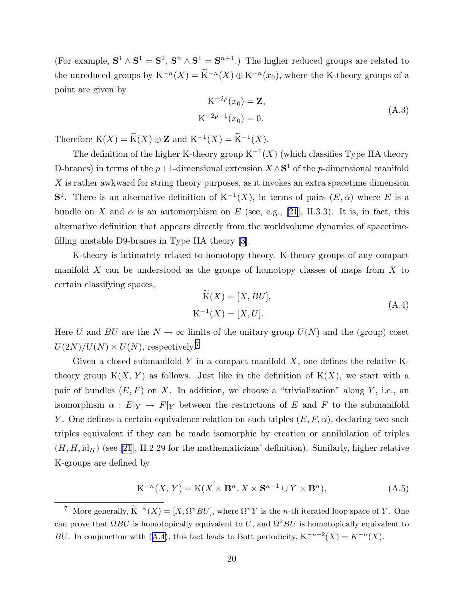<span id="page-20-0"></span>(For example,  $S^1 \wedge S^1 = S^2$ ,  $S^n \wedge S^1 = S^{n+1}$ .) The higher reduced groups are related to the unreduced groups by  $K^{-n}(X) = \widetilde{K}^{-n}(X) \oplus K^{-n}(x_0)$ , where the K-theory groups of a point are given by

$$
K^{-2p}(x_0) = \mathbf{Z},
$$
  
\n
$$
K^{-2p-1}(x_0) = 0.
$$
\n(A.3)

Therefore  $K(X) = \widetilde{K}(X) \oplus \mathbf{Z}$  and  $K^{-1}(X) = \widetilde{K}^{-1}(X)$ .

The definition of the higher K-theory group  $K^{-1}(X)$  (which classifies Type IIA theory D-branes) in terms of the  $p+1$ -dimensional extension  $X \wedge S^1$  of the  $p$ -dimensional manifold  $X$  is rather awkward for string theory purposes, as it invokes an extra spacetime dimension  $S<sup>1</sup>$ . There is an alternative definition of  $K<sup>-1</sup>(X)$ , in terms of pairs  $(E, \alpha)$  where E is a bundle on X and  $\alpha$  is an automorphism on E (see, e.g., [\[21](#page-27-0)], II.3.3). It is, in fact, this alternative definition that appears directly from the worldvolume dynamics of spacetimefilling unstable D9-branes in Type IIA theory[[3\]](#page-26-0).

K-theory is intimately related to homotopy theory. K-theory groups of any compact manifold  $X$  can be understood as the groups of homotopy classes of maps from  $X$  to certain classifying spaces,

$$
K(X) = [X, BU],
$$
  
\n
$$
K^{-1}(X) = [X, U].
$$
\n(A.4)

Here U and BU are the  $N \to \infty$  limits of the unitary group  $U(N)$  and the (group) coset  $U(2N)/U(N) \times U(N)$ , respectively.<sup>7</sup>

Given a closed submanifold Y in a compact manifold  $X$ , one defines the relative Ktheory group  $K(X, Y)$  as follows. Just like in the definition of  $K(X)$ , we start with a pair of bundles  $(E, F)$  on X. In addition, we choose a "trivialization" along Y, i.e., an isomorphism  $\alpha : E|_Y \to F|_Y$  between the restrictions of E and F to the submanifold Y. One defines a certain equivalence relation on such triples  $(E, F, \alpha)$ , declaring two such triples equivalent if they can be made isomorphic by creation or annihilation of triples  $(H, H, id<sub>H</sub>)$  (see [\[21](#page-27-0)], II.2.29 for the mathematicians' definition). Similarly, higher relative K-groups are defined by

$$
K^{-n}(X, Y) = K(X \times \mathbf{B}^n, X \times \mathbf{S}^{n-1} \cup Y \times \mathbf{B}^n),
$$
 (A.5)

<sup>&</sup>lt;sup>7</sup> More generally,  $\widetilde{K}^{-n}(X) = [X, \Omega^n BU]$ , where  $\Omega^n Y$  is the *n*-th iterated loop space of Y. One can prove that  $\Omega BU$  is homotopically equivalent to U, and  $\Omega^2 BU$  is homotopically equivalent to BU. In conjunction with (A.4), this fact leads to Bott periodicity,  $K^{-n-2}(X) = K^{-n}(X)$ .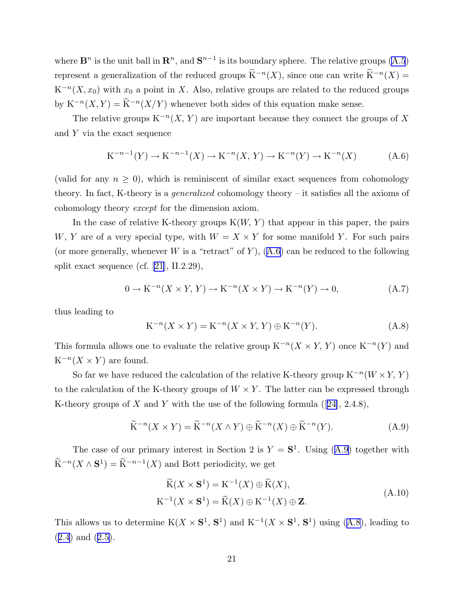<span id="page-21-0"></span>where  $\mathbf{B}^n$  is the unit ball in  $\mathbf{R}^n$ , and  $\mathbf{S}^{n-1}$  is its boundary sphere. The relative groups [\(A.5](#page-20-0)) represent a generalization of the reduced groups  $\widetilde{K}^{-n}(X)$ , since one can write  $\widetilde{K}^{-n}(X)$  =  $K^{-n}(X, x_0)$  with  $x_0$  a point in X. Also, relative groups are related to the reduced groups by  $K^{-n}(X, Y) = \widetilde{K}^{-n}(X/Y)$  whenever both sides of this equation make sense.

The relative groups  $K^{-n}(X, Y)$  are important because they connect the groups of X and Y via the exact sequence

$$
K^{-n-1}(Y) \to K^{-n-1}(X) \to K^{-n}(X, Y) \to K^{-n}(Y) \to K^{-n}(X)
$$
 (A.6)

(valid for any  $n \geq 0$ ), which is reminiscent of similar exact sequences from cohomology theory. In fact, K-theory is a generalized cohomology theory – it satisfies all the axioms of cohomology theory except for the dimension axiom.

In the case of relative K-theory groups  $K(W, Y)$  that appear in this paper, the pairs W, Y are of a very special type, with  $W = X \times Y$  for some manifold Y. For such pairs (or more generally, whenever W is a "retract" of Y),  $(A.6)$  can be reduced to the following split exact sequence (cf.[[21\]](#page-27-0), II.2.29),

$$
0 \to \mathrm{K}^{-n}(X \times Y, Y) \to \mathrm{K}^{-n}(X \times Y) \to \mathrm{K}^{-n}(Y) \to 0,
$$
\n(A.7)

thus leading to

$$
K^{-n}(X \times Y) = K^{-n}(X \times Y, Y) \oplus K^{-n}(Y). \tag{A.8}
$$

This formula allows one to evaluate the relative group  $K^{-n}(X \times Y, Y)$  once  $K^{-n}(Y)$  and  $K^{-n}(X \times Y)$  are found.

So far we have reduced the calculation of the relative K-theory group  $K^{-n}(W \times Y, Y)$ to the calculation of the K-theory groups of  $W \times Y$ . The latter can be expressed through K-theory groups of X and Y with the use of the following formula  $(24, 2.4.8)$ ,

$$
\widetilde{\mathcal{K}}^{-n}(X \times Y) = \widetilde{\mathcal{K}}^{-n}(X \wedge Y) \oplus \widetilde{\mathcal{K}}^{-n}(X) \oplus \widetilde{\mathcal{K}}^{-n}(Y). \tag{A.9}
$$

The case of our primary interest in Section 2 is  $Y = S^1$ . Using (A.9) together with  $\widetilde{\mathrm{K}}^{-n}(X\wedge \mathbf{S}^1)=\widetilde{\mathrm{K}}^{-n-1}(X)$  and Bott periodicity, we get

$$
\widetilde{\mathbf{K}}(X \times \mathbf{S}^1) = \mathbf{K}^{-1}(X) \oplus \widetilde{\mathbf{K}}(X),
$$
\n
$$
\mathbf{K}^{-1}(X \times \mathbf{S}^1) = \widetilde{\mathbf{K}}(X) \oplus \mathbf{K}^{-1}(X) \oplus \mathbf{Z}.
$$
\n(A.10)

This allows us to determine  $K(X \times S^1, S^1)$  and  $K^{-1}(X \times S^1, S^1)$  using (A.8), leading to ([2.4](#page-5-0)) and ([2.5\)](#page-5-0).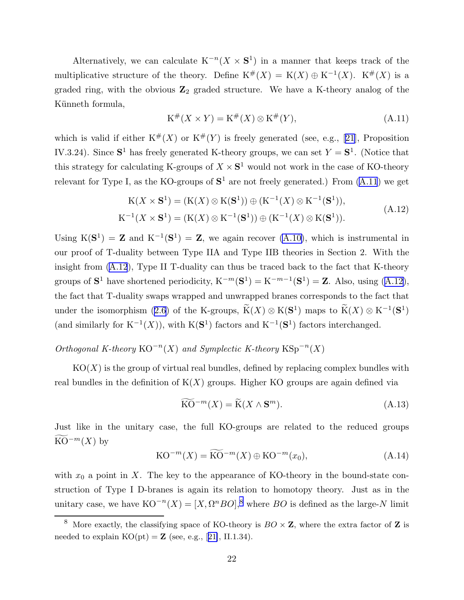Alternatively, we can calculate  $K^{-n}(X \times S^1)$  in a manner that keeps track of the multiplicative structure of the theory. Define  $K^{\#}(X) = K(X) \oplus K^{-1}(X)$ .  $K^{\#}(X)$  is a graded ring, with the obvious  $\mathbb{Z}_2$  graded structure. We have a K-theory analog of the Künneth formula,

$$
K^{\#}(X \times Y) = K^{\#}(X) \otimes K^{\#}(Y), \tag{A.11}
$$

whichis valid if either  $K^{\#}(X)$  or  $K^{\#}(Y)$  is freely generated (see, e.g., [[21\]](#page-27-0), Proposition IV.3.24). Since  $S^1$  has freely generated K-theory groups, we can set  $Y = S^1$ . (Notice that this strategy for calculating K-groups of  $X \times S^1$  would not work in the case of KO-theory relevant for Type I, as the KO-groups of  $S^1$  are not freely generated.) From  $(A.11)$  we get

$$
K(X \times S^{1}) = (K(X) \otimes K(S^{1})) \oplus (K^{-1}(X) \otimes K^{-1}(S^{1})),
$$
  
\n
$$
K^{-1}(X \times S^{1}) = (K(X) \otimes K^{-1}(S^{1})) \oplus (K^{-1}(X) \otimes K(S^{1})).
$$
\n(A.12)

Using  $K(S^1) = Z$  and  $K^{-1}(S^1) = Z$ , we again recover [\(A.10\)](#page-21-0), which is instrumental in our proof of T-duality between Type IIA and Type IIB theories in Section 2. With the insight from (A.12), Type II T-duality can thus be traced back to the fact that K-theory groups of  $S^1$  have shortened periodicity,  $K^{-m}(S^1) = K^{-m-1}(S^1) = Z$ . Also, using  $(A.12)$ , the fact that T-duality swaps wrapped and unwrapped branes corresponds to the fact that under the isomorphism ([2.6](#page-6-0)) of the K-groups,  $\widetilde{K}(X) \otimes K(S^1)$  maps to  $\widetilde{K}(X) \otimes K^{-1}(S^1)$ (and similarly for  $K^{-1}(X)$ ), with  $K(S^1)$  factors and  $K^{-1}(S^1)$  factors interchanged.

# Orthogonal K-theory  $KO^{-n}(X)$  and Symplectic K-theory  $KSp^{-n}(X)$

 $KO(X)$  is the group of virtual real bundles, defined by replacing complex bundles with real bundles in the definition of  $K(X)$  groups. Higher KO groups are again defined via

$$
\widetilde{\text{KO}}^{-m}(X) = \widetilde{\text{K}}(X \wedge \mathbf{S}^m). \tag{A.13}
$$

Just like in the unitary case, the full KO-groups are related to the reduced groups KO<sup> $-m(X)$ </sup> by

$$
KO^{-m}(X) = \widetilde{KO}^{-m}(X) \oplus KO^{-m}(x_0),\tag{A.14}
$$

with  $x_0$  a point in X. The key to the appearance of KO-theory in the bound-state construction of Type I D-branes is again its relation to homotopy theory. Just as in the unitary case, we have  $KO^{-n}(X) = [X, \Omega^n BO],^8$  where BO is defined as the large-N limit

<sup>&</sup>lt;sup>8</sup> More exactly, the classifying space of KO-theory is  $BO \times \mathbb{Z}$ , where the extra factor of  $\mathbb{Z}$  is neededto explain  $KO(pt) = \mathbb{Z}$  (see, e.g., [[21\]](#page-27-0), II.1.34).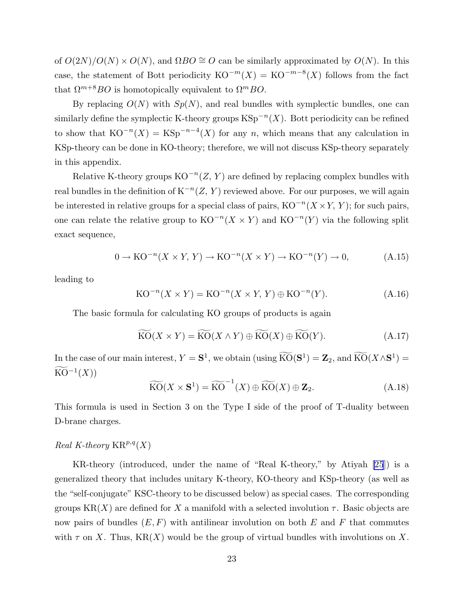of  $O(2N)/O(N) \times O(N)$ , and  $\Omega BO \cong O$  can be similarly approximated by  $O(N)$ . In this case, the statement of Bott periodicity  $KO^{-m}(X) = KO^{-m-8}(X)$  follows from the fact that  $\Omega^{m+8}BO$  is homotopically equivalent to  $\Omega^mBO$ .

By replacing  $O(N)$  with  $Sp(N)$ , and real bundles with symplectic bundles, one can similarly define the symplectic K-theory groups  $\text{KSp}^{-n}(X)$ . Bott periodicity can be refined to show that  $KO^{-n}(X) = KSp^{-n-4}(X)$  for any n, which means that any calculation in KSp-theory can be done in KO-theory; therefore, we will not discuss KSp-theory separately in this appendix.

Relative K-theory groups  $KO^{-n}(Z, Y)$  are defined by replacing complex bundles with real bundles in the definition of  $K^{-n}(Z, Y)$  reviewed above. For our purposes, we will again be interested in relative groups for a special class of pairs,  $KO^{-n}(X \times Y, Y)$ ; for such pairs, one can relate the relative group to  $KO^{-n}(X \times Y)$  and  $KO^{-n}(Y)$  via the following split exact sequence,

$$
0 \to \mathrm{KO}^{-n}(X \times Y, Y) \to \mathrm{KO}^{-n}(X \times Y) \to \mathrm{KO}^{-n}(Y) \to 0,
$$
 (A.15)

leading to

$$
KO^{-n}(X \times Y) = KO^{-n}(X \times Y, Y) \oplus KO^{-n}(Y). \tag{A.16}
$$

The basic formula for calculating KO groups of products is again

$$
\widetilde{\mathrm{KO}}(X \times Y) = \widetilde{\mathrm{KO}}(X \wedge Y) \oplus \widetilde{\mathrm{KO}}(X) \oplus \widetilde{\mathrm{KO}}(Y). \tag{A.17}
$$

In the case of our main interest,  $Y = S^1$ , we obtain (using  $\widehat{KO}(S^1) = \mathbb{Z}_2$ , and  $\widehat{KO}(X \wedge S^1) =$  $\widetilde{{\rm KO}}^{-1}(X))$ 

$$
\widetilde{\mathrm{KO}}(X \times \mathbf{S}^1) = \widetilde{\mathrm{KO}}^{-1}(X) \oplus \widetilde{\mathrm{KO}}(X) \oplus \mathbf{Z}_2. \tag{A.18}
$$

This formula is used in Section 3 on the Type I side of the proof of T-duality between D-brane charges.

## Real K-theory  $\operatorname{KR}^{p,q}(X)$

KR-theory (introduced, under the name of "Real K-theory," by Atiyah [\[25](#page-27-0)]) is a generalized theory that includes unitary K-theory, KO-theory and KSp-theory (as well as the "self-conjugate" KSC-theory to be discussed below) as special cases. The corresponding groups  $KR(X)$  are defined for X a manifold with a selected involution  $\tau$ . Basic objects are now pairs of bundles  $(E, F)$  with antilinear involution on both E and F that commutes with  $\tau$  on X. Thus, KR(X) would be the group of virtual bundles with involutions on X.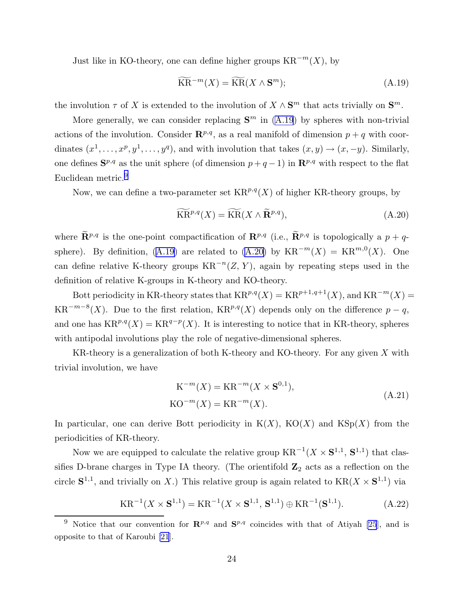<span id="page-24-0"></span>Just like in KO-theory, one can define higher groups  $KR^{-m}(X)$ , by

$$
\widetilde{\text{KR}}^{-m}(X) = \widetilde{\text{KR}}(X \wedge \mathbf{S}^m); \tag{A.19}
$$

the involution  $\tau$  of X is extended to the involution of  $X \wedge S^m$  that acts trivially on  $S^m$ .

More generally, we can consider replacing  $S<sup>m</sup>$  in (A.19) by spheres with non-trivial actions of the involution. Consider  $\mathbb{R}^{p,q}$ , as a real manifold of dimension  $p + q$  with coordinates  $(x^1, \ldots, x^p, y^1, \ldots, y^q)$ , and with involution that takes  $(x, y) \rightarrow (x, -y)$ . Similarly, one defines  $S^{p,q}$  as the unit sphere (of dimension  $p+q-1$ ) in  $\mathbb{R}^{p,q}$  with respect to the flat Euclidean metric.<sup>9</sup>

Now, we can define a two-parameter set  $KR^{p,q}(X)$  of higher KR-theory groups, by

$$
\widetilde{\text{KR}}^{p,q}(X) = \widetilde{\text{KR}}(X \wedge \widetilde{\mathbf{R}}^{p,q}),\tag{A.20}
$$

where  $\widetilde{\mathbf{R}}^{p,q}$  is the one-point compactification of  $\mathbf{R}^{p,q}$  (i.e.,  $\widetilde{\mathbf{R}}^{p,q}$  is topologically a  $p + q$ sphere). By definition, (A.19) are related to (A.20) by  $KR^{-m}(X) = KR^{m,0}(X)$ . One can define relative K-theory groups  $KR^{-n}(Z, Y)$ , again by repeating steps used in the definition of relative K-groups in K-theory and KO-theory.

Bott periodicity in KR-theory states that  $KR^{p,q}(X) = KR^{p+1,q+1}(X)$ , and  $KR^{-m}(X) =$  $KR^{-m-8}(X)$ . Due to the first relation,  $KR^{p,q}(X)$  depends only on the difference  $p-q$ , and one has  $KR^{p,q}(X) = KR^{q-p}(X)$ . It is interesting to notice that in KR-theory, spheres with antipodal involutions play the role of negative-dimensional spheres.

KR-theory is a generalization of both K-theory and KO-theory. For any given X with trivial involution, we have

$$
\mathbf{K}^{-m}(X) = \mathbf{K}\mathbf{R}^{-m}(X \times \mathbf{S}^{0,1}),
$$
  
 
$$
\mathbf{KO}^{-m}(X) = \mathbf{K}\mathbf{R}^{-m}(X).
$$
 (A.21)

In particular, one can derive Bott periodicity in  $K(X)$ ,  $KO(X)$  and  $KSp(X)$  from the periodicities of KR-theory.

Now we are equipped to calculate the relative group  $KR^{-1}(X \times S^{1,1}, S^{1,1})$  that classifies D-brane charges in Type IA theory. (The orientifold  $\mathbb{Z}_2$  acts as a reflection on the circle  $S^{1,1}$ , and trivially on X.) This relative group is again related to  $KR(X \times S^{1,1})$  via

$$
KR^{-1}(X \times S^{1,1}) = KR^{-1}(X \times S^{1,1}, S^{1,1}) \oplus KR^{-1}(S^{1,1}).
$$
 (A.22)

<sup>&</sup>lt;sup>9</sup> Notice that our convention for  $\mathbb{R}^{p,q}$  and  $\mathbb{S}^{p,q}$  coincides with that of Atiyah [\[25](#page-27-0)], and is opposite to that of Karoubi [\[21](#page-27-0)].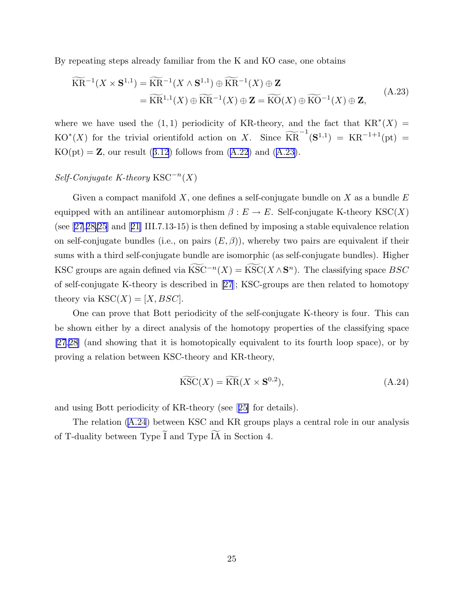By repeating steps already familiar from the K and KO case, one obtains

$$
\widetilde{\text{KR}}^{-1}(X \times \mathbf{S}^{1,1}) = \widetilde{\text{KR}}^{-1}(X \wedge \mathbf{S}^{1,1}) \oplus \widetilde{\text{KR}}^{-1}(X) \oplus \mathbf{Z} \n= \widetilde{\text{KR}}^{1,1}(X) \oplus \widetilde{\text{KR}}^{-1}(X) \oplus \mathbf{Z} = \widetilde{\text{KO}}(X) \oplus \widetilde{\text{KO}}^{-1}(X) \oplus \mathbf{Z},
$$
\n(A.23)

where we have used the  $(1, 1)$  periodicity of KR-theory, and the fact that  $KR^*(X)$  = KO<sup>\*</sup>(X) for the trivial orientifold action on X. Since  $\widetilde{KR}^{-1}(S^{1,1}) = KR^{-1+1}(pt)$  =  $KO(pt) = \mathbb{Z}$ , our result ([3.12](#page-12-0)) follows from ([A.22](#page-24-0)) and (A.23).

# $Self\text{-}Conjugate K\text{-}theory \text{ KSC}^{-n}(X)$

Given a compact manifold X, one defines a self-conjugate bundle on X as a bundle  $E$ equipped with an antilinear automorphism  $\beta : E \to E$ . Self-conjugate K-theory KSC(X) (see [\[27](#page-27-0),[28,25\]](#page-27-0) and[[21\]](#page-27-0) III.7.13-15) is then defined by imposing a stable equivalence relation on self-conjugate bundles (i.e., on pairs  $(E, \beta)$ ), whereby two pairs are equivalent if their sums with a third self-conjugate bundle are isomorphic (as self-conjugate bundles). Higher KSC groups are again defined via  $\widetilde{\mathrm{KSC}}^{-n}(X) = \widetilde{\mathrm{KSC}}(X \wedge \mathbf{S}^n)$ . The classifying space  $BSC$ of self-conjugate K-theory is described in [\[27](#page-27-0)]; KSC-groups are then related to homotopy theory via  $\text{KSC}(X) = [X, BSC].$ 

One can prove that Bott periodicity of the self-conjugate K-theory is four. This can be shown either by a direct analysis of the homotopy properties of the classifying space [\[27](#page-27-0),[28\]](#page-27-0) (and showing that it is homotopically equivalent to its fourth loop space), or by proving a relation between KSC-theory and KR-theory,

$$
\widetilde{\mathrm{KSC}}(X) = \widetilde{\mathrm{KR}}(X \times \mathbf{S}^{0,2}),\tag{A.24}
$$

and using Bott periodicity of KR-theory (see[[25\]](#page-27-0) for details).

The relation (A.24) between KSC and KR groups plays a central role in our analysis of T-duality between Type  $\widetilde{I}$  and Type  $\widetilde{IA}$  in Section 4.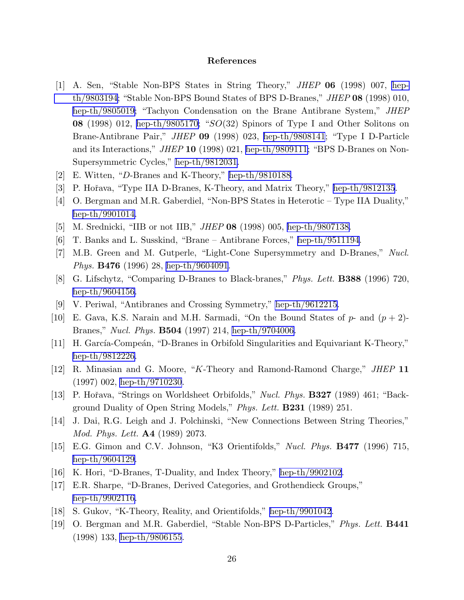#### References

- <span id="page-26-0"></span>[1] A. Sen, "Stable Non-BPS States in String Theory," JHEP 06 (1998) 007, [hep](http://arXiv.org/abs/hep-th/9803194)[th/9803194](http://arXiv.org/abs/hep-th/9803194); "Stable Non-BPS Bound States of BPS D-Branes," JHEP 08 (1998) 010, [hep-th/9805019;](http://arXiv.org/abs/hep-th/9805019) "Tachyon Condensation on the Brane Antibrane System," JHEP **08** (1998) 012, [hep-th/9805170;](http://arXiv.org/abs/hep-th/9805170) " $SO(32)$  Spinors of Type I and Other Solitons on Brane-Antibrane Pair," JHEP 09 (1998) 023, [hep-th/9808141](http://arXiv.org/abs/hep-th/9808141); "Type I D-Particle and its Interactions," JHEP 10 (1998) 021, [hep-th/9809111;](http://arXiv.org/abs/hep-th/9809111) "BPS D-Branes on Non-Supersymmetric Cycles," [hep-th/9812031.](http://arXiv.org/abs/hep-th/9812031)
- [2] E. Witten, "D-Branes and K-Theory," [hep-th/9810188.](http://arXiv.org/abs/hep-th/9810188)
- [3] P. Hořava, "Type IIA D-Branes, K-Theory, and Matrix Theory," [hep-th/9812135](http://arXiv.org/abs/hep-th/9812135).
- [4] O. Bergman and M.R. Gaberdiel, "Non-BPS States in Heterotic Type IIA Duality," [hep-th/9901014.](http://arXiv.org/abs/hep-th/9901014)
- [5] M. Srednicki, "IIB or not IIB," JHEP 08 (1998) 005, [hep-th/9807138.](http://arXiv.org/abs/hep-th/9807138)
- [6] T. Banks and L. Susskind, "Brane Antibrane Forces," [hep-th/9511194](http://arXiv.org/abs/hep-th/9511194).
- [7] M.B. Green and M. Gutperle, "Light-Cone Supersymmetry and D-Branes," Nucl. Phys. B476 (1996) 28, [hep-th/9604091](http://arXiv.org/abs/hep-th/9604091).
- [8] G. Lifschytz, "Comparing D-Branes to Black-branes," Phys. Lett. B388 (1996) 720, [hep-th/9604156.](http://arXiv.org/abs/hep-th/9604156)
- [9] V. Periwal, "Antibranes and Crossing Symmetry," [hep-th/9612215](http://arXiv.org/abs/hep-th/9612215).
- [10] E. Gava, K.S. Narain and M.H. Sarmadi, "On the Bound States of  $p$  and  $(p+2)$ -Branes," Nucl. Phys. B504 (1997) 214, [hep-th/9704006.](http://arXiv.org/abs/hep-th/9704006)
- [11] H. García-Compeán, "D-Branes in Orbifold Singularities and Equivariant K-Theory," [hep-th/9812226.](http://arXiv.org/abs/hep-th/9812226)
- [12] R. Minasian and G. Moore, "K-Theory and Ramond-Ramond Charge," JHEP 11 (1997) 002, [hep-th/9710230](http://arXiv.org/abs/hep-th/9710230).
- [13] P. Hořava, "Strings on Worldsheet Orbifolds," *Nucl. Phys.* **B327** (1989) 461; "Background Duality of Open String Models," Phys. Lett. **B231** (1989) 251.
- [14] J. Dai, R.G. Leigh and J. Polchinski, "New Connections Between String Theories," Mod. Phys. Lett. A4 (1989) 2073.
- [15] E.G. Gimon and C.V. Johnson, "K3 Orientifolds," Nucl. Phys. **B477** (1996) 715, [hep-th/9604129.](http://arXiv.org/abs/hep-th/9604129)
- [16] K. Hori, "D-Branes, T-Duality, and Index Theory," [hep-th/9902102.](http://arXiv.org/abs/hep-th/9902102)
- [17] E.R. Sharpe, "D-Branes, Derived Categories, and Grothendieck Groups," [hep-th/9902116.](http://arXiv.org/abs/hep-th/9902116)
- [18] S. Gukov, "K-Theory, Reality, and Orientifolds," [hep-th/9901042](http://arXiv.org/abs/hep-th/9901042).
- [19] O. Bergman and M.R. Gaberdiel, "Stable Non-BPS D-Particles," Phys. Lett. B441 (1998) 133, [hep-th/9806155](http://arXiv.org/abs/hep-th/9806155).